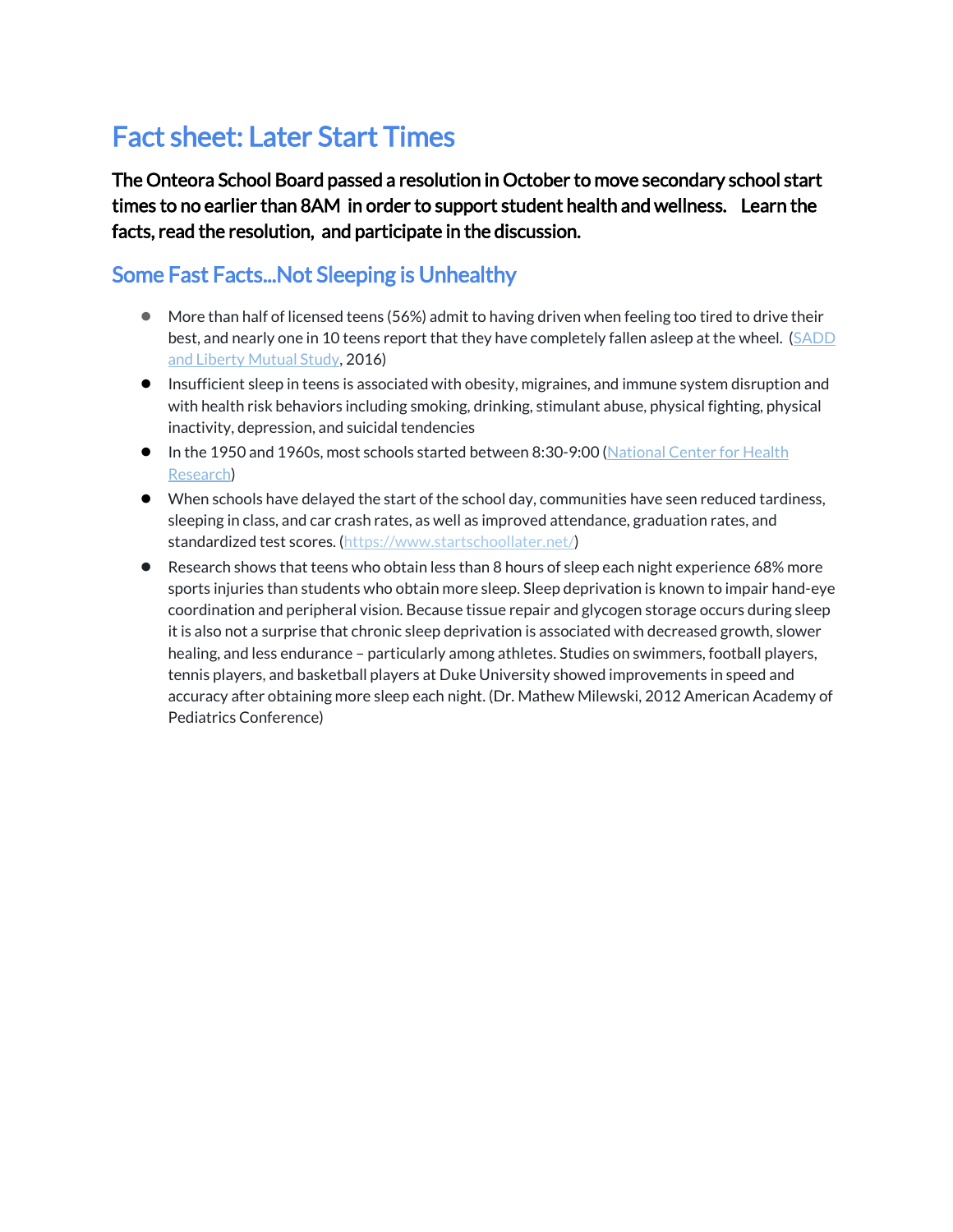## Fact sheet: Later Start Times

The Onteora School Board passed a resolution in October to move secondary school start times to no earlier than 8AM in order to support student health and wellness. Learn the facts, read the resolution, and participate in the discussion.

## Some Fast Facts...Not Sleeping is Unhealthy

- More than half of licensed teens (56%) admit to having driven when feeling too tired to drive their best, and nearly one in 10 teens report that they have completely fallen asleep at the wheel. (SADD [and Liberty Mutual Study,](https://www.libertymutualgroup.com/about-lm/news/news-release-archive/articles/teens-and-drowsy-driving) 2016)
- Insufficient sleep in teens is associated with obesity, migraines, and immune system disruption and with health risk behaviors including smoking, drinking, stimulant abuse, physical fighting, physical inactivity, depression, and suicidal tendencies
- In the 1950 and 1960s, most schools started between 8:30-9:00 (National Center for Health [Research\)](http://www.center4research.org/early-morning-classes-sleepy-students-risky-behaviors/)
- When schools have delayed the start of the school day, communities have seen reduced tardiness, sleeping in class, and car crash rates, as well as improved attendance, graduation rates, and standardized test scores. [\(https://www.startschoollater.net/\)](https://www.startschoollater.net/about-us.html)
- Research shows that teens who obtain less than 8 hours of sleep each night experience 68% more sports injuries than students who obtain more sleep. Sleep deprivation is known to impair hand-eye coordination and peripheral vision. Because tissue repair and glycogen storage occurs during sleep it is also not a surprise that chronic sleep deprivation is associated with decreased growth, slower healing, and less endurance – particularly among athletes. Studies on swimmers, football players, tennis players, and basketball players at Duke University showed improvements in speed and accuracy after obtaining more sleep each night. (Dr. Mathew Milewski, 2012 American Academy of Pediatrics Conference)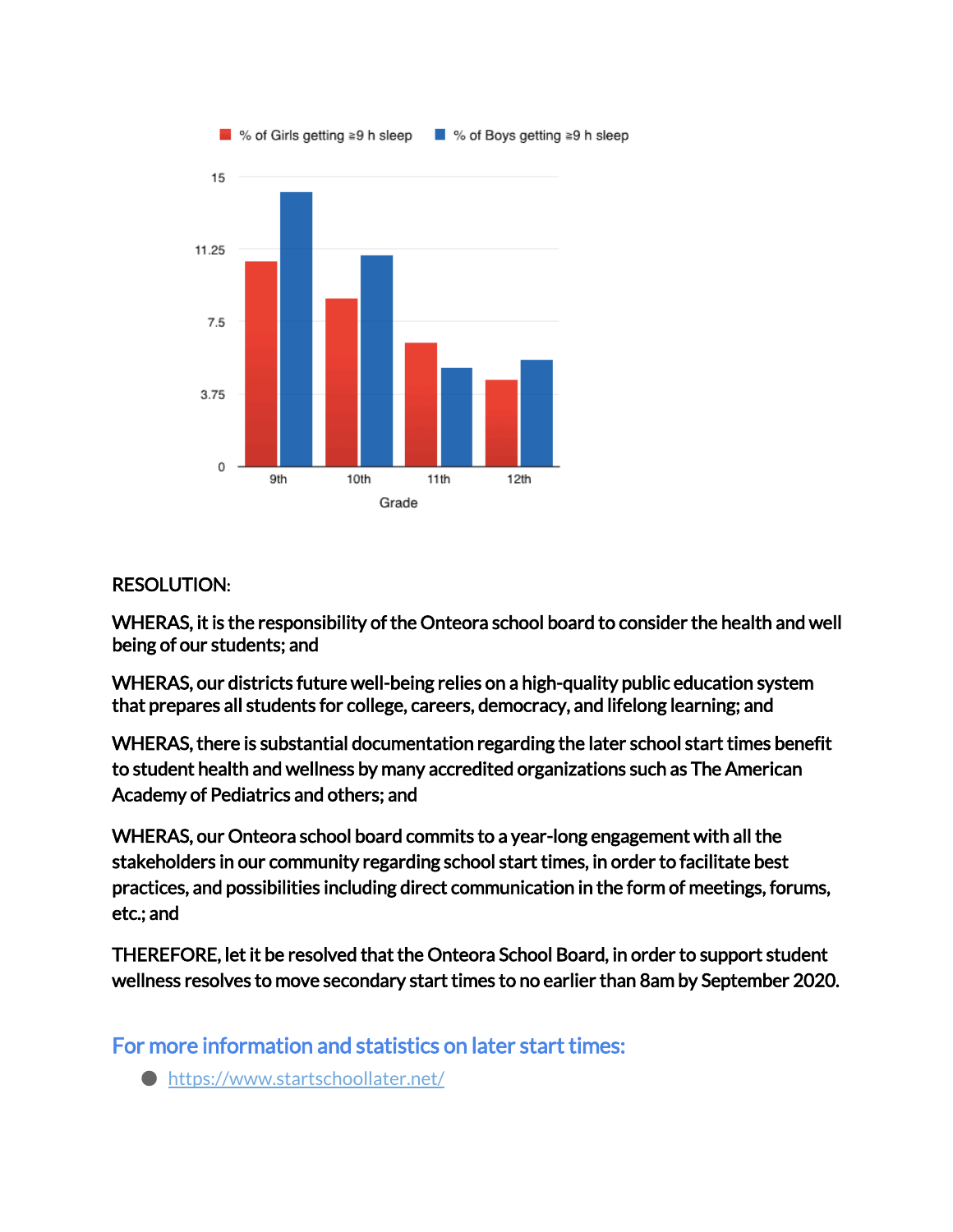

## RESOLUTION:

WHERAS, it is the responsibility of the Onteora school board to consider the health and well being of our students; and

WHERAS, our districts future well-being relies on a high-quality public education system that prepares all students for college, careers, democracy, and lifelong learning; and

WHERAS, there is substantial documentation regarding the later school start times benefit to student health and wellness by many accredited organizations such as The American Academy of Pediatrics and others; and

WHERAS, our Onteora school board commits to a year-long engagement with all the stakeholders in our community regarding school start times, in order to facilitate best practices, and possibilities including direct communication in the form of meetings, forums, etc.; and

THEREFORE, let it be resolved that the Onteora School Board, in order to support student wellness resolves to move secondary start times to no earlier than 8am by September 2020.

For more information and statistics on later start times:

● https://www.startschoollater.net/